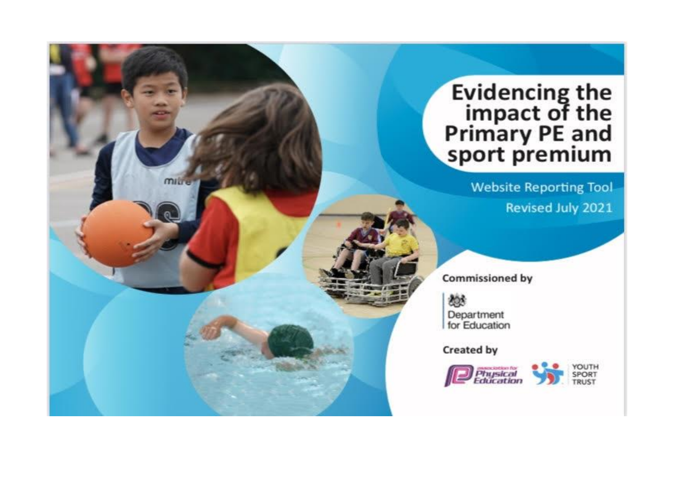## Evidencing the<br>impact of the<br>Primary PE and<br>sport premium

**Website Reporting Tool** Revised July 2021

**Commissioned by** 

戀 Department<br>for Education

**Created by** 



mitre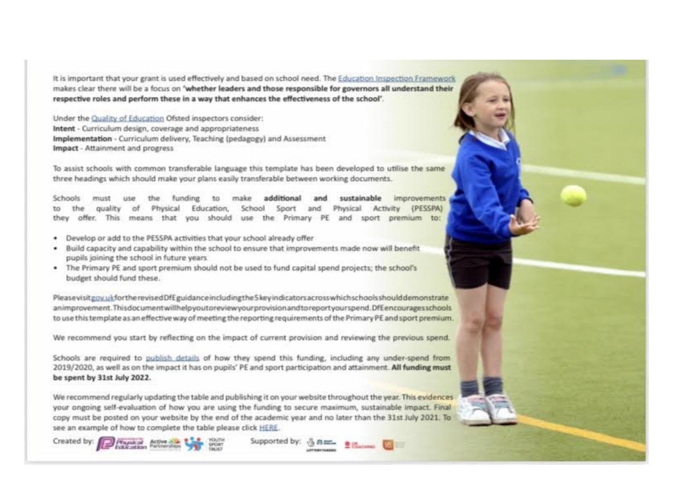It is important that your grant is used effectively and based on school need. The Education Inspection Framework makes clear there will be a focus on 'whether leaders and those responsible for governors all understand their respective roles and perform these in a way that enhances the effectiveness of the school'.

Under the Quality of Education Ofsted inspectors consider: Intent - Curriculum design, coverage and appropriateness Implementation - Curriculum delivery, Teaching (pedagogy) and Assessment Impact - Attainment and progress

To assist schools with common transferable language this template has been developed to utilise the same three headings which should make your plans easily transferable between working documents.

Schools funding make additional and sustainable improvements to: Physical Education, School Sport and Physical Activity (PESSPA) quality the they offer. This means that you should use the Primary PE and sport premium to:

- Develop or add to the PESSPA activities that your school already offer
- . Build capacity and capability within the school to ensure that improvements made now will benefit pupils joining the school in future years
- . The Primary PE and sport premium should not be used to fund capital spend projects; the school's budget should fund these.

Please visit gov.ukfor the revised DfE guidance including the 5 key indicators across which schools should demonstrate animprovement. This document will help you to review your provision and to report your spend. DfEen courages schools to use this template as an effective way of meeting the reporting requirements of the Primary PE and sport premium.

We recommend you start by reflecting on the impact of current provision and reviewing the previous spend.

Schools are required to publish details of how they spend this funding, including any under-spend from 2019/2020, as well as on the impact it has on pupils' PE and sport participation and attainment. All funding must be spent by 31st July 2022.

We recommend regularly updating the table and publishing it on your website throughout the year. This evidences your ongoing self-evaluation of how you are using the funding to secure maximum, sustainable impact. Final copy must be posted on your website by the end of the academic year and no later than the 31st July 2021. To see an example of how to complete the table please click HERE.

Created by: Flagskill, Active State



Supported by: 8 8mL 2 Hannes

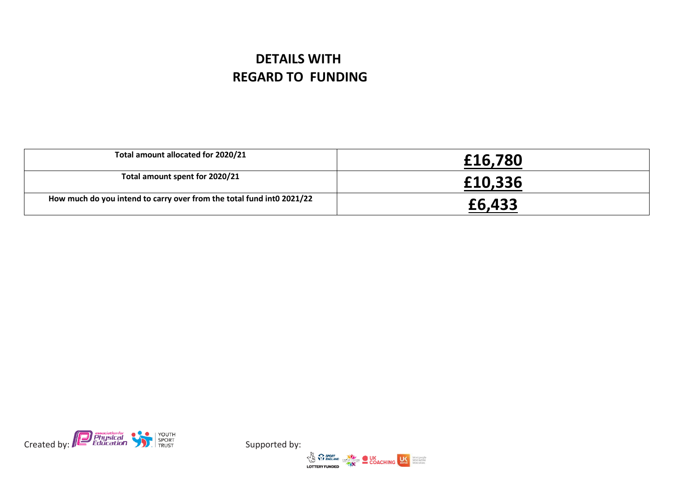## **DETAILS WITH REGARD TO FUNDING**

| Total amount allocated for 2020/21                                    | £16,780 |
|-----------------------------------------------------------------------|---------|
| Total amount spent for 2020/21                                        | £10,336 |
| How much do you intend to carry over from the total fund into 2021/22 | £6,433  |



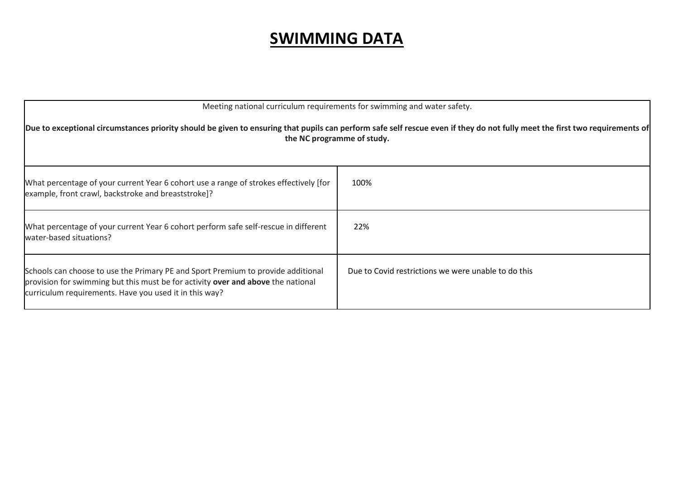## **SWIMMING DATA**

|                                                                                                                                                                                                                                | Meeting national curriculum requirements for swimming and water safety. |
|--------------------------------------------------------------------------------------------------------------------------------------------------------------------------------------------------------------------------------|-------------------------------------------------------------------------|
| Due to exceptional circumstances priority should be given to ensuring that pupils can perform safe self rescue even if they do not fully meet the first two requirements of                                                    | the NC programme of study.                                              |
| What percentage of your current Year 6 cohort use a range of strokes effectively [for<br>example, front crawl, backstroke and breaststroke]?                                                                                   | 100%                                                                    |
| What percentage of your current Year 6 cohort perform safe self-rescue in different<br>water-based situations?                                                                                                                 | 22%                                                                     |
| Schools can choose to use the Primary PE and Sport Premium to provide additional<br>provision for swimming but this must be for activity over and above the national<br>curriculum requirements. Have you used it in this way? | Due to Covid restrictions we were unable to do this                     |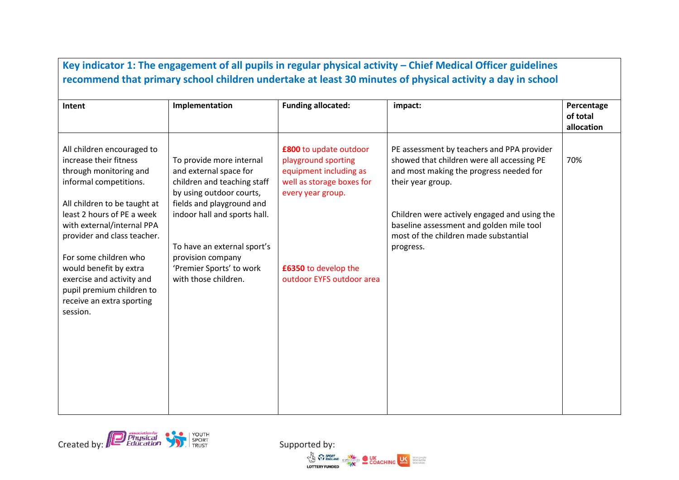| Intent                                                                                                                                                                                                                                                                                                                                                                                    | Implementation                                                                                                                                                                                                                                                                     | <b>Funding allocated:</b>                                                                                                                                                      | impact:                                                                                                                                                                                                                                                                                                    | Percentage<br>of total<br>allocation |
|-------------------------------------------------------------------------------------------------------------------------------------------------------------------------------------------------------------------------------------------------------------------------------------------------------------------------------------------------------------------------------------------|------------------------------------------------------------------------------------------------------------------------------------------------------------------------------------------------------------------------------------------------------------------------------------|--------------------------------------------------------------------------------------------------------------------------------------------------------------------------------|------------------------------------------------------------------------------------------------------------------------------------------------------------------------------------------------------------------------------------------------------------------------------------------------------------|--------------------------------------|
| All children encouraged to<br>increase their fitness<br>through monitoring and<br>informal competitions.<br>All children to be taught at<br>least 2 hours of PE a week<br>with external/internal PPA<br>provider and class teacher.<br>For some children who<br>would benefit by extra<br>exercise and activity and<br>pupil premium children to<br>receive an extra sporting<br>session. | To provide more internal<br>and external space for<br>children and teaching staff<br>by using outdoor courts,<br>fields and playground and<br>indoor hall and sports hall.<br>To have an external sport's<br>provision company<br>'Premier Sports' to work<br>with those children. | £800 to update outdoor<br>playground sporting<br>equipment including as<br>well as storage boxes for<br>every year group.<br>£6350 to develop the<br>outdoor EYFS outdoor area | PE assessment by teachers and PPA provider<br>showed that children were all accessing PE<br>and most making the progress needed for<br>their year group.<br>Children were actively engaged and using the<br>baseline assessment and golden mile tool<br>most of the children made substantial<br>progress. | 70%                                  |



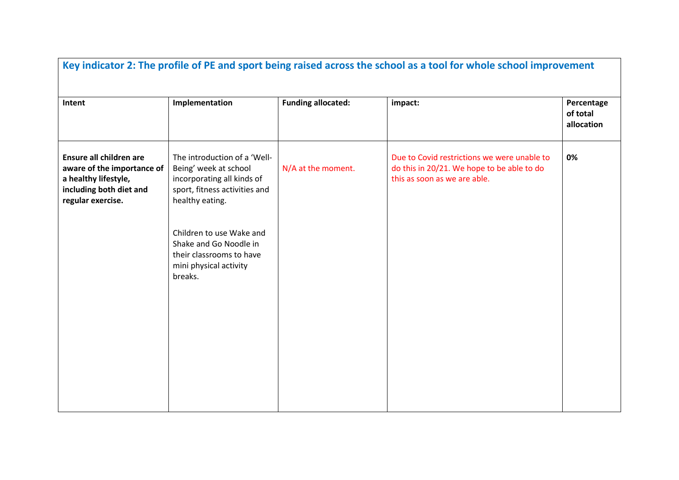| Intent                                                                                                                        | Implementation                                                                                                                          | <b>Funding allocated:</b> | impact:                                                                                                                   | Percentage<br>of total<br>allocation |
|-------------------------------------------------------------------------------------------------------------------------------|-----------------------------------------------------------------------------------------------------------------------------------------|---------------------------|---------------------------------------------------------------------------------------------------------------------------|--------------------------------------|
| Ensure all children are<br>aware of the importance of<br>a healthy lifestyle,<br>including both diet and<br>regular exercise. | The introduction of a 'Well-<br>Being' week at school<br>incorporating all kinds of<br>sport, fitness activities and<br>healthy eating. | N/A at the moment.        | Due to Covid restrictions we were unable to<br>do this in 20/21. We hope to be able to do<br>this as soon as we are able. | 0%                                   |
|                                                                                                                               | Children to use Wake and<br>Shake and Go Noodle in<br>their classrooms to have<br>mini physical activity<br>breaks.                     |                           |                                                                                                                           |                                      |
|                                                                                                                               |                                                                                                                                         |                           |                                                                                                                           |                                      |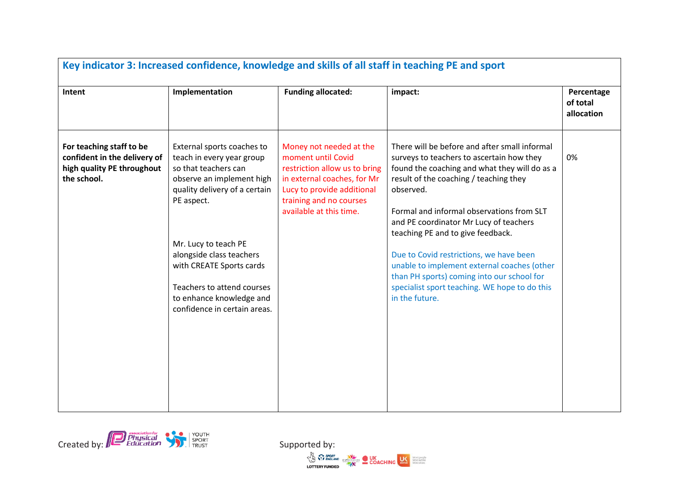| Intent                                                                                                | Implementation                                                                                                                                                                                                                                                                                                                        | <b>Funding allocated:</b>                                                                                                                                                                         | impact:                                                                                                                                                                                                                                                                                                                                                                                                                                                                                                                                   | Percentage<br>of total<br>allocation |
|-------------------------------------------------------------------------------------------------------|---------------------------------------------------------------------------------------------------------------------------------------------------------------------------------------------------------------------------------------------------------------------------------------------------------------------------------------|---------------------------------------------------------------------------------------------------------------------------------------------------------------------------------------------------|-------------------------------------------------------------------------------------------------------------------------------------------------------------------------------------------------------------------------------------------------------------------------------------------------------------------------------------------------------------------------------------------------------------------------------------------------------------------------------------------------------------------------------------------|--------------------------------------|
| For teaching staff to be<br>confident in the delivery of<br>high quality PE throughout<br>the school. | External sports coaches to<br>teach in every year group<br>so that teachers can<br>observe an implement high<br>quality delivery of a certain<br>PE aspect.<br>Mr. Lucy to teach PE<br>alongside class teachers<br>with CREATE Sports cards<br>Teachers to attend courses<br>to enhance knowledge and<br>confidence in certain areas. | Money not needed at the<br>moment until Covid<br>restriction allow us to bring<br>in external coaches, for Mr<br>Lucy to provide additional<br>training and no courses<br>available at this time. | There will be before and after small informal<br>surveys to teachers to ascertain how they<br>found the coaching and what they will do as a<br>result of the coaching / teaching they<br>observed.<br>Formal and informal observations from SLT<br>and PE coordinator Mr Lucy of teachers<br>teaching PE and to give feedback.<br>Due to Covid restrictions, we have been<br>unable to implement external coaches (other<br>than PH sports) coming into our school for<br>specialist sport teaching. WE hope to do this<br>in the future. | 0%                                   |

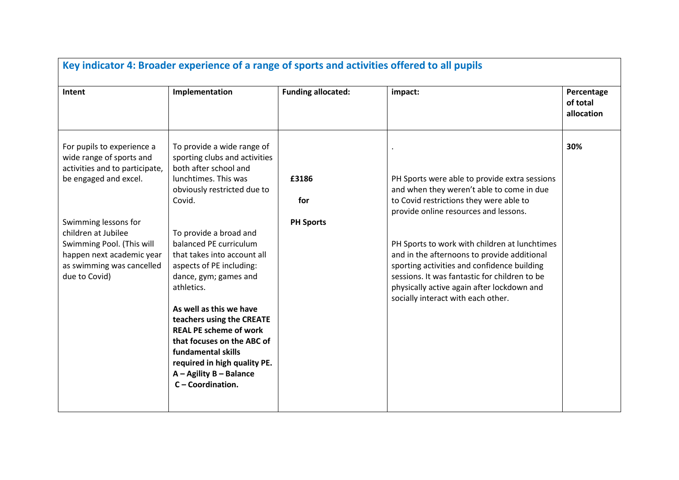| Intent                                                                                                                                              | Implementation                                                                                                                                                                                                                                                                                                                                                                    | <b>Funding allocated:</b> | impact:                                                                                                                                                                                                                                                                                                                   | Percentage<br>of total<br>allocation |
|-----------------------------------------------------------------------------------------------------------------------------------------------------|-----------------------------------------------------------------------------------------------------------------------------------------------------------------------------------------------------------------------------------------------------------------------------------------------------------------------------------------------------------------------------------|---------------------------|---------------------------------------------------------------------------------------------------------------------------------------------------------------------------------------------------------------------------------------------------------------------------------------------------------------------------|--------------------------------------|
| For pupils to experience a<br>wide range of sports and<br>activities and to participate,<br>be engaged and excel.                                   | To provide a wide range of<br>sporting clubs and activities<br>both after school and<br>lunchtimes. This was<br>obviously restricted due to<br>Covid.                                                                                                                                                                                                                             | £3186<br>for              | PH Sports were able to provide extra sessions<br>and when they weren't able to come in due<br>to Covid restrictions they were able to                                                                                                                                                                                     | 30%                                  |
| Swimming lessons for<br>children at Jubilee<br>Swimming Pool. (This will<br>happen next academic year<br>as swimming was cancelled<br>due to Covid) | To provide a broad and<br>balanced PE curriculum<br>that takes into account all<br>aspects of PE including:<br>dance, gym; games and<br>athletics.<br>As well as this we have<br>teachers using the CREATE<br><b>REAL PE scheme of work</b><br>that focuses on the ABC of<br>fundamental skills<br>required in high quality PE.<br>$A -$ Agility B - Balance<br>C - Coordination. | <b>PH Sports</b>          | provide online resources and lessons.<br>PH Sports to work with children at lunchtimes<br>and in the afternoons to provide additional<br>sporting activities and confidence building<br>sessions. It was fantastic for children to be<br>physically active again after lockdown and<br>socially interact with each other. |                                      |